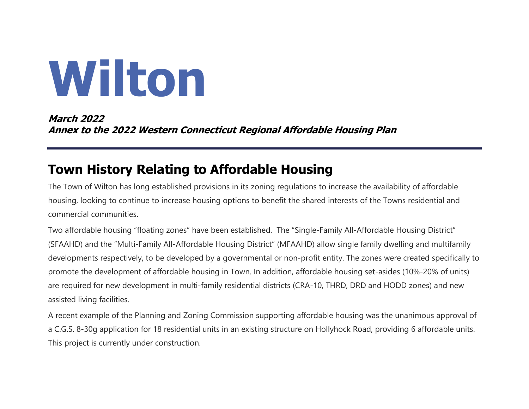# **Wilton**

**March 2022 Annex to the 2022 Western Connecticut Regional Affordable Housing Plan**

# **Town History Relating to Affordable Housing**

The Town of Wilton has long established provisions in its zoning regulations to increase the availability of affordable housing, looking to continue to increase housing options to benefit the shared interests of the Towns residential and commercial communities.

Two affordable housing "floating zones" have been established. The "Single-Family All-Affordable Housing District" (SFAAHD) and the "Multi-Family All-Affordable Housing District" (MFAAHD) allow single family dwelling and multifamily developments respectively, to be developed by a governmental or non-profit entity. The zones were created specifically to promote the development of affordable housing in Town. In addition, affordable housing set-asides (10%-20% of units) are required for new development in multi-family residential districts (CRA-10, THRD, DRD and HODD zones) and new assisted living facilities.

A recent example of the Planning and Zoning Commission supporting affordable housing was the unanimous approval of a C.G.S. 8-30g application for 18 residential units in an existing structure on Hollyhock Road, providing 6 affordable units. This project is currently under construction.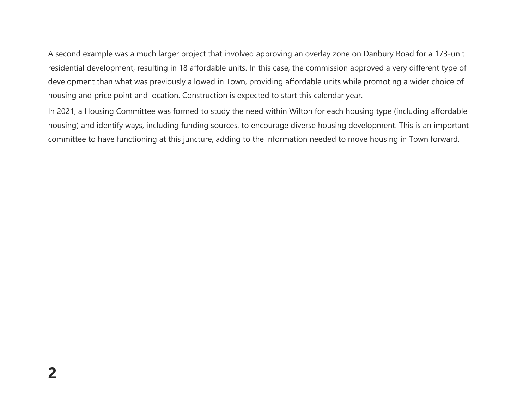A second example was a much larger project that involved approving an overlay zone on Danbury Road for a 173-unit residential development, resulting in 18 affordable units. In this case, the commission approved a very different type of development than what was previously allowed in Town, providing affordable units while promoting a wider choice of housing and price point and location. Construction is expected to start this calendar year.

In 2021, a Housing Committee was formed to study the need within Wilton for each housing type (including affordable housing) and identify ways, including funding sources, to encourage diverse housing development. This is an important committee to have functioning at this juncture, adding to the information needed to move housing in Town forward.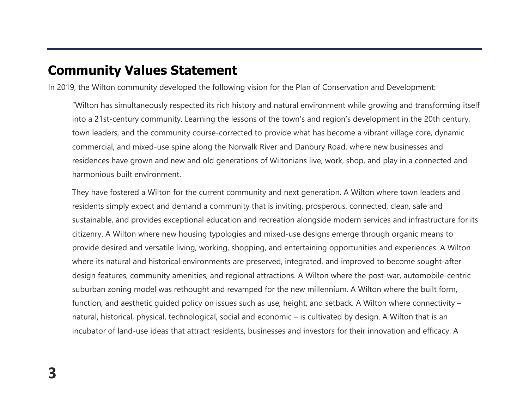### **Community Values Statement**

In 2019, the Wilton community developed the following vision for the Plan of Conservation and Development:

"Wilton has simultaneously respected its rich history and natural environment while growing and transforming itself into a 21st-century community. Learning the lessons of the town's and region's development in the 20th century, town leaders, and the community course-corrected to provide what has become a vibrant village core, dynamic commercial, and mixed-use spine along the Norwalk River and Danbury Road, where new businesses and residences have grown and new and old generations of Wiltonians live, work, shop, and play in a connected and harmonious built environment.

They have fostered a Wilton for the current community and next generation. A Wilton where town leaders and residents simply expect and demand a community that is inviting, prosperous, connected, clean, safe and sustainable, and provides exceptional education and recreation alongside modern services and infrastructure for its citizenry. A Wilton where new housing typologies and mixed-use designs emerge through organic means to provide desired and versatile living, working, shopping, and entertaining opportunities and experiences. A Wilton where its natural and historical environments are preserved, integrated, and improved to become sought-after design features, community amenities, and regional attractions. A Wilton where the post-war, automobile-centric suburban zoning model was rethought and revamped for the new millennium. A Wilton where the built form, function, and aesthetic guided policy on issues such as use, height, and setback. A Wilton where connectivity – natural, historical, physical, technological, social and economic – is cultivated by design. A Wilton that is an incubator of land-use ideas that attract residents, businesses and investors for their innovation and efficacy. A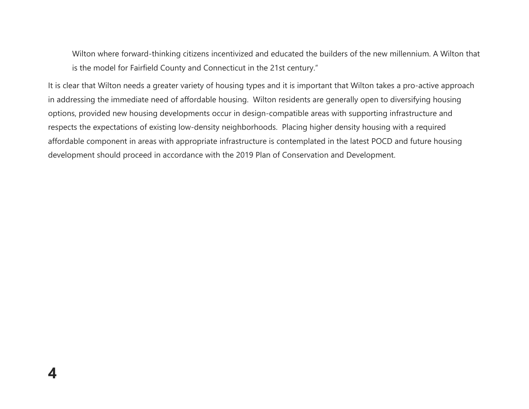Wilton where forward-thinking citizens incentivized and educated the builders of the new millennium. A Wilton that is the model for Fairfield County and Connecticut in the 21st century."

It is clear that Wilton needs a greater variety of housing types and it is important that Wilton takes a pro-active approach in addressing the immediate need of affordable housing. Wilton residents are generally open to diversifying housing options, provided new housing developments occur in design-compatible areas with supporting infrastructure and respects the expectations of existing low-density neighborhoods. Placing higher density housing with a required affordable component in areas with appropriate infrastructure is contemplated in the latest POCD and future housing development should proceed in accordance with the 2019 Plan of Conservation and Development.

**4**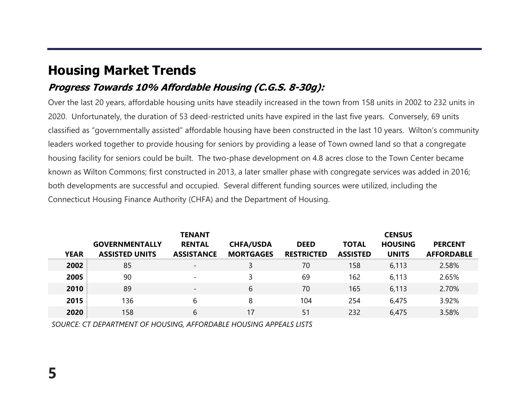# **Housing Market Trends**

#### **Progress Towards 10% Affordable Housing (C.G.S. 8-30g):**

Over the last 20 years, affordable housing units have steadily increased in the town from 158 units in 2002 to 232 units in 2020. Unfortunately, the duration of 53 deed-restricted units have expired in the last five years. Conversely, 69 units classified as "governmentally assisted" affordable housing have been constructed in the last 10 years. Wilton's community leaders worked together to provide housing for seniors by providing a lease of Town owned land so that a congregate housing facility for seniors could be built. The two-phase development on 4.8 acres close to the Town Center became known as Wilton Commons; first constructed in 2013, a later smaller phase with congregate services was added in 2016; both developments are successful and occupied. Several different funding sources were utilized, including the Connecticut Housing Finance Authority (CHFA) and the Department of Housing.

| <b>YEAR</b> | <b>GOVERNMENTALLY</b><br><b>ASSISTED UNITS</b> | <b>TENANT</b><br><b>RENTAL</b><br><b>ASSISTANCE</b> | <b>CHFA/USDA</b><br><b>MORTGAGES</b> | <b>DEED</b><br><b>RESTRICTED</b> | <b>TOTAL</b><br><b>ASSISTED</b> | <b>CENSUS</b><br><b>HOUSING</b><br><b>UNITS</b> | <b>PERCENT</b><br><b>AFFORDABLE</b> |
|-------------|------------------------------------------------|-----------------------------------------------------|--------------------------------------|----------------------------------|---------------------------------|-------------------------------------------------|-------------------------------------|
| 2002        | 85                                             | $\overline{\phantom{a}}$                            |                                      | 70                               | 158                             | 6,113                                           | 2.58%                               |
| 2005        | 90                                             | $\overline{\phantom{a}}$                            |                                      | 69                               | 162                             | 6,113                                           | 2.65%                               |
| 2010        | 89                                             | $\overline{\phantom{a}}$                            | 6                                    | 70                               | 165                             | 6,113                                           | 2.70%                               |
| 2015        | 136                                            | 6                                                   | 8                                    | 104                              | 254                             | 6,475                                           | 3.92%                               |
| 2020        | 158                                            | 6                                                   | 17                                   | 51                               | 232                             | 6,475                                           | 3.58%                               |

*SOURCE: CT DEPARTMENT OF HOUSING, AFFORDABLE HOUSING APPEALS LISTS*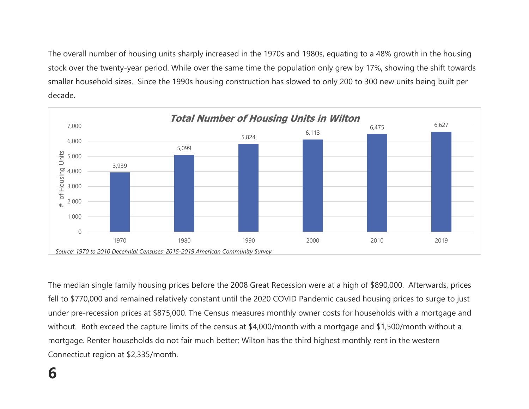The overall number of housing units sharply increased in the 1970s and 1980s, equating to a 48% growth in the housing stock over the twenty-year period. While over the same time the population only grew by 17%, showing the shift towards smaller household sizes. Since the 1990s housing construction has slowed to only 200 to 300 new units being built per decade.



The median single family housing prices before the 2008 Great Recession were at a high of \$890,000. Afterwards, prices fell to \$770,000 and remained relatively constant until the 2020 COVID Pandemic caused housing prices to surge to just under pre-recession prices at \$875,000. The Census measures monthly owner costs for households with a mortgage and without. Both exceed the capture limits of the census at \$4,000/month with a mortgage and \$1,500/month without a mortgage. Renter households do not fair much better; Wilton has the third highest monthly rent in the western Connecticut region at \$2,335/month.

# **6**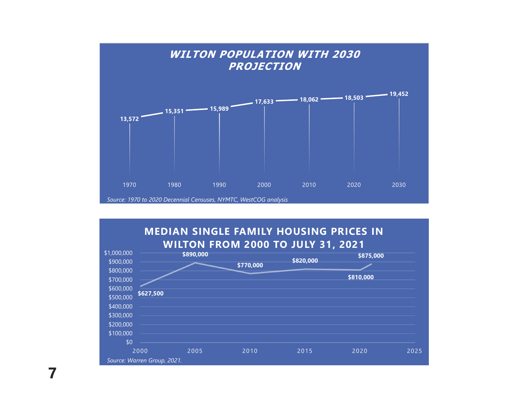

#### **MEDIAN SINGLE FAMILY HOUSING PRICES IN WILTON FROM 2000 TO JULY 31, 2021**



**7**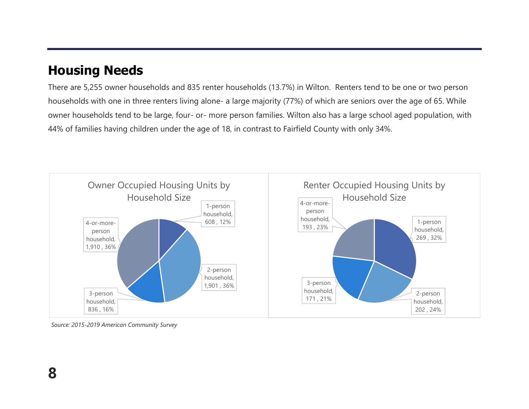# **Housing Needs**

There are 5,255 owner households and 835 renter households (13.7%) in Wilton. Renters tend to be one or two person households with one in three renters living alone- a large majority (77%) of which are seniors over the age of 65. While owner households tend to be large, four- or- more person families. Wilton also has a large school aged population, with 44% of families having children under the age of 18, in contrast to Fairfield County with only 34%.



*Source: 2015-2019 American Community Survey*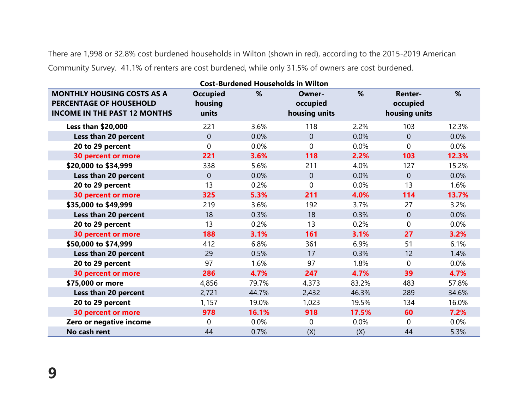There are 1,998 or 32.8% cost burdened households in Wilton (shown in red), according to the 2015-2019 American Community Survey. 41.1% of renters are cost burdened, while only 31.5% of owners are cost burdened.

| <b>Cost-Burdened Households in Wilton</b>                                                                  |                                     |       |                                     |       |                                             |       |  |  |  |  |  |
|------------------------------------------------------------------------------------------------------------|-------------------------------------|-------|-------------------------------------|-------|---------------------------------------------|-------|--|--|--|--|--|
| <b>MONTHLY HOUSING COSTS AS A</b><br><b>PERCENTAGE OF HOUSEHOLD</b><br><b>INCOME IN THE PAST 12 MONTHS</b> | <b>Occupied</b><br>housing<br>units | %     | Owner-<br>occupied<br>housing units | %     | <b>Renter-</b><br>occupied<br>housing units | %     |  |  |  |  |  |
| <b>Less than \$20,000</b>                                                                                  | 221                                 | 3.6%  | 118                                 | 2.2%  | 103                                         | 12.3% |  |  |  |  |  |
| Less than 20 percent                                                                                       | $\overline{0}$                      | 0.0%  | $\overline{0}$                      | 0.0%  | $\overline{0}$                              | 0.0%  |  |  |  |  |  |
| 20 to 29 percent                                                                                           | $\mathbf{0}$                        | 0.0%  | $\mathbf 0$                         | 0.0%  | $\overline{0}$                              | 0.0%  |  |  |  |  |  |
| <b>30 percent or more</b>                                                                                  | 221                                 | 3.6%  | 118                                 | 2.2%  | 103                                         | 12.3% |  |  |  |  |  |
| \$20,000 to \$34,999                                                                                       | 338                                 | 5.6%  | 211                                 | 4.0%  | 127                                         | 15.2% |  |  |  |  |  |
| Less than 20 percent                                                                                       | $\overline{0}$                      | 0.0%  | $\overline{0}$                      | 0.0%  | $\mathbf 0$                                 | 0.0%  |  |  |  |  |  |
| 20 to 29 percent                                                                                           | 13                                  | 0.2%  | $\Omega$                            | 0.0%  | 13                                          | 1.6%  |  |  |  |  |  |
| <b>30 percent or more</b>                                                                                  | 325                                 | 5.3%  | 211                                 | 4.0%  | 114                                         | 13.7% |  |  |  |  |  |
| \$35,000 to \$49,999                                                                                       | 219                                 | 3.6%  | 192                                 | 3.7%  | 27                                          | 3.2%  |  |  |  |  |  |
| Less than 20 percent                                                                                       | 18                                  | 0.3%  | 18                                  | 0.3%  | $\mathbf 0$                                 | 0.0%  |  |  |  |  |  |
| 20 to 29 percent                                                                                           | 13                                  | 0.2%  | 13                                  | 0.2%  | 0                                           | 0.0%  |  |  |  |  |  |
| <b>30 percent or more</b>                                                                                  | 188                                 | 3.1%  | 161                                 | 3.1%  | 27                                          | 3.2%  |  |  |  |  |  |
| \$50,000 to \$74,999                                                                                       | 412                                 | 6.8%  | 361                                 | 6.9%  | 51                                          | 6.1%  |  |  |  |  |  |
| Less than 20 percent                                                                                       | 29                                  | 0.5%  | 17                                  | 0.3%  | 12                                          | 1.4%  |  |  |  |  |  |
| 20 to 29 percent                                                                                           | 97                                  | 1.6%  | 97                                  | 1.8%  | 0                                           | 0.0%  |  |  |  |  |  |
| <b>30 percent or more</b>                                                                                  | 286                                 | 4.7%  | 247                                 | 4.7%  | 39                                          | 4.7%  |  |  |  |  |  |
| \$75,000 or more                                                                                           | 4,856                               | 79.7% | 4,373                               | 83.2% | 483                                         | 57.8% |  |  |  |  |  |
| Less than 20 percent                                                                                       | 2,721                               | 44.7% | 2,432                               | 46.3% | 289                                         | 34.6% |  |  |  |  |  |
| 20 to 29 percent                                                                                           | 1,157                               | 19.0% | 1,023                               | 19.5% | 134                                         | 16.0% |  |  |  |  |  |
| <b>30 percent or more</b>                                                                                  | 978                                 | 16.1% | 918                                 | 17.5% | 60                                          | 7.2%  |  |  |  |  |  |
| Zero or negative income                                                                                    | $\Omega$                            | 0.0%  | $\Omega$                            | 0.0%  | $\Omega$                                    | 0.0%  |  |  |  |  |  |
| No cash rent                                                                                               | 44                                  | 0.7%  | (X)                                 | (X)   | 44                                          | 5.3%  |  |  |  |  |  |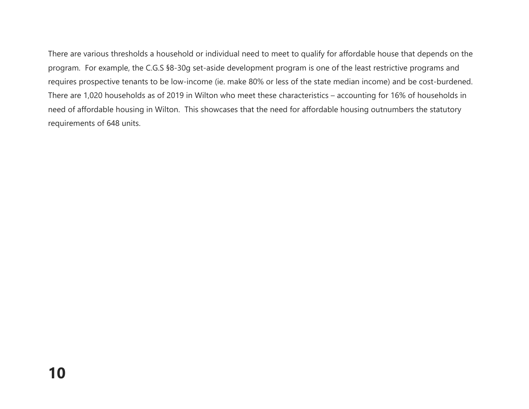There are various thresholds a household or individual need to meet to qualify for affordable house that depends on the program. For example, the C.G.S §8-30g set-aside development program is one of the least restrictive programs and requires prospective tenants to be low-income (ie. make 80% or less of the state median income) and be cost-burdened. There are 1,020 households as of 2019 in Wilton who meet these characteristics – accounting for 16% of households in need of affordable housing in Wilton. This showcases that the need for affordable housing outnumbers the statutory requirements of 648 units.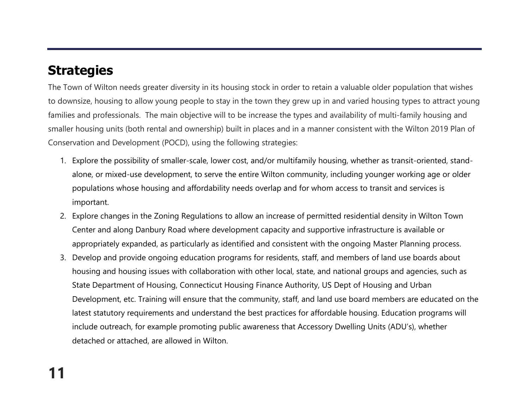# **Strategies**

The Town of Wilton needs greater diversity in its housing stock in order to retain a valuable older population that wishes to downsize, housing to allow young people to stay in the town they grew up in and varied housing types to attract young families and professionals. The main objective will to be increase the types and availability of multi-family housing and smaller housing units (both rental and ownership) built in places and in a manner consistent with the Wilton 2019 Plan of Conservation and Development (POCD), using the following strategies:

- 1. Explore the possibility of smaller-scale, lower cost, and/or multifamily housing, whether as transit-oriented, standalone, or mixed-use development, to serve the entire Wilton community, including younger working age or older populations whose housing and affordability needs overlap and for whom access to transit and services is important.
- 2. Explore changes in the Zoning Regulations to allow an increase of permitted residential density in Wilton Town Center and along Danbury Road where development capacity and supportive infrastructure is available or appropriately expanded, as particularly as identified and consistent with the ongoing Master Planning process.
- 3. Develop and provide ongoing education programs for residents, staff, and members of land use boards about housing and housing issues with collaboration with other local, state, and national groups and agencies, such as State Department of Housing, Connecticut Housing Finance Authority, US Dept of Housing and Urban Development, etc. Training will ensure that the community, staff, and land use board members are educated on the latest statutory requirements and understand the best practices for affordable housing. Education programs will include outreach, for example promoting public awareness that Accessory Dwelling Units (ADU's), whether detached or attached, are allowed in Wilton.